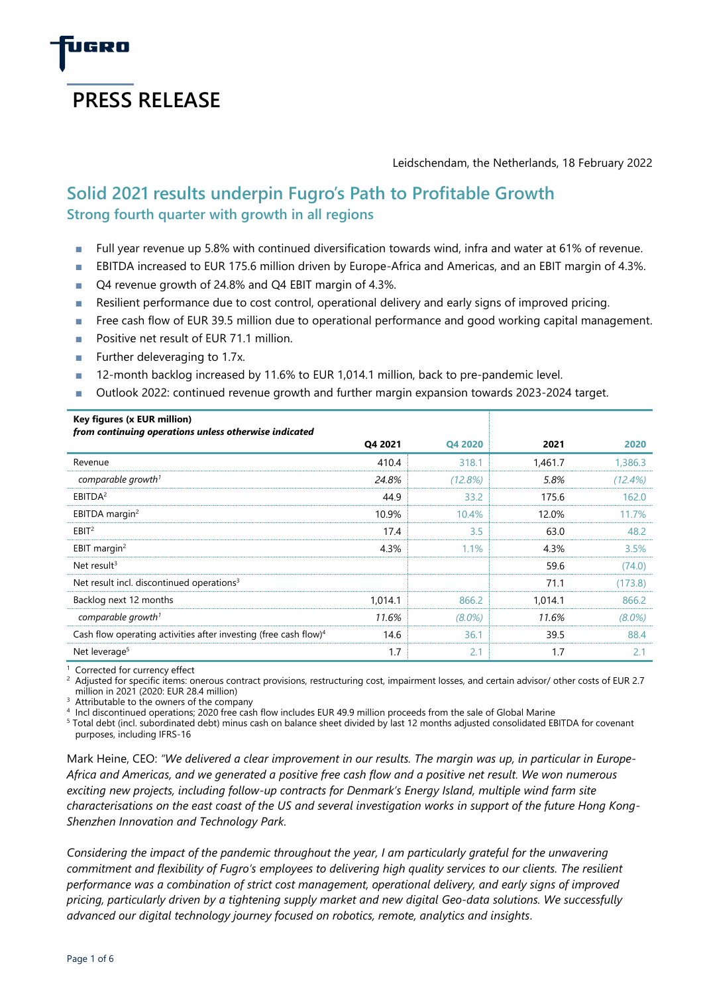

Leidschendam, the Netherlands, 18 February 2022

# **Solid 2021 results underpin Fugro's Path to Profitable Growth Strong fourth quarter with growth in all regions**

- Full year revenue up 5.8% with continued diversification towards wind, infra and water at 61% of revenue.
- EBITDA increased to EUR 175.6 million driven by Europe-Africa and Americas, and an EBIT margin of 4.3%.
- Q4 revenue growth of 24.8% and Q4 EBIT margin of 4.3%.
- Resilient performance due to cost control, operational delivery and early signs of improved pricing.
- Free cash flow of EUR 39.5 million due to operational performance and good working capital management.
- Positive net result of EUR 71.1 million.
- Further deleveraging to 1.7x.
- 12-month backlog increased by 11.6% to EUR 1,014.1 million, back to pre-pandemic level.
- Outlook 2022: continued revenue growth and further margin expansion towards 2023-2024 target.

| Key figures (x EUR million)<br>from continuing operations unless otherwise indicated |         |           |         |           |
|--------------------------------------------------------------------------------------|---------|-----------|---------|-----------|
|                                                                                      | Q4 2021 | Q4 2020   | 2021    | 2020      |
| Revenue                                                                              | 410.4   | 318.1     | 1,461.7 | 1,386.3   |
| comparable growth <sup>1</sup>                                                       | 24.8%   | (12.8%)   | 5.8%    | (12.4%)   |
| EBITDA <sup>2</sup>                                                                  | 44.9    | 33.2      | 175.6   | 162.0     |
| EBITDA margin <sup>2</sup>                                                           | 10.9%   | 10.4%     | 12.0%   | 11.7%     |
| EBIT <sup>2</sup>                                                                    | 17.4    | 3.5       | 63.0    | 48.2      |
| EBIT margin <sup>2</sup>                                                             | 4.3%    | 1.1%      | 4.3%    | 3.5%      |
| Net result <sup>3</sup>                                                              |         |           | 59.6    | (74.0)    |
| Net result incl. discontinued operations <sup>3</sup>                                |         |           | 71.1    | (173.8)   |
| Backlog next 12 months                                                               | 1,014.1 | 866.2     | 1,014.1 | 866.2     |
| comparable growth <sup>1</sup>                                                       | 11.6%   | $(8.0\%)$ | 11.6%   | $(8.0\%)$ |
| Cash flow operating activities after investing (free cash flow) <sup>4</sup>         | 14.6    | 36.1      | 39.5    | 88.4      |
| Net leverage <sup>5</sup>                                                            | 1.7     | 2.1       | 1.7     | 2.1       |

<sup>1</sup> Corrected for currency effect

Adjusted for specific items: onerous contract provisions, restructuring cost, impairment losses, and certain advisor/ other costs of EUR 2.7 million in 2021 (2020: EUR 28.4 million)

Attributable to the owners of the company

4 Incl discontinued operations; 2020 free cash flow includes EUR 49.9 million proceeds from the sale of Global Marine

<sup>5</sup> Total debt (incl. subordinated debt) minus cash on balance sheet divided by last 12 months adjusted consolidated EBITDA for covenant purposes, including IFRS-16

Mark Heine, CEO: *"We delivered a clear improvement in our results. The margin was up, in particular in Europe-Africa and Americas, and we generated a positive free cash flow and a positive net result. We won numerous exciting new projects, including follow-up contracts for Denmark's Energy Island, multiple wind farm site characterisations on the east coast of the US and several investigation works in support of the future Hong Kong-Shenzhen Innovation and Technology Park.* 

*Considering the impact of the pandemic throughout the year, I am particularly grateful for the unwavering commitment and flexibility of Fugro's employees to delivering high quality services to our clients. The resilient performance was a combination of strict cost management, operational delivery, and early signs of improved pricing, particularly driven by a tightening supply market and new digital Geo-data solutions. We successfully advanced our digital technology journey focused on robotics, remote, analytics and insights*.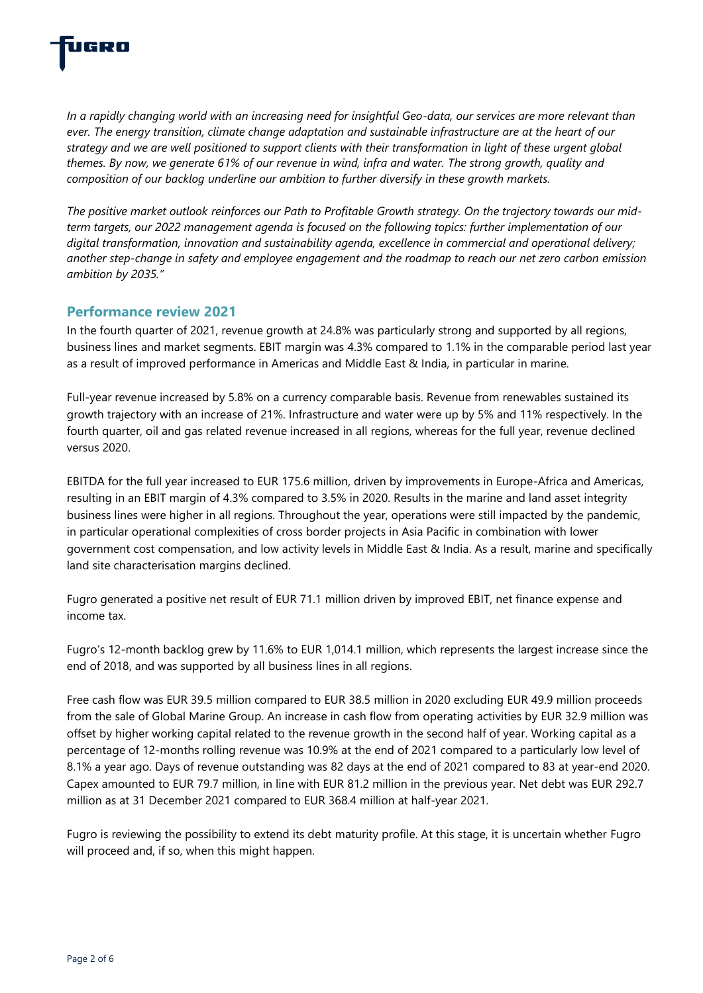

*In a rapidly changing world with an increasing need for insightful Geo-data, our services are more relevant than ever. The energy transition, climate change adaptation and sustainable infrastructure are at the heart of our strategy and we are well positioned to support clients with their transformation in light of these urgent global themes. By now, we generate 61% of our revenue in wind, infra and water. The strong growth, quality and composition of our backlog underline our ambition to further diversify in these growth markets.* 

*The positive market outlook reinforces our Path to Profitable Growth strategy. On the trajectory towards our midterm targets, our 2022 management agenda is focused on the following topics: further implementation of our digital transformation, innovation and sustainability agenda, excellence in commercial and operational delivery; another step-change in safety and employee engagement and the roadmap to reach our net zero carbon emission ambition by 2035."*

#### **Performance review 2021**

In the fourth quarter of 2021, revenue growth at 24.8% was particularly strong and supported by all regions, business lines and market segments. EBIT margin was 4.3% compared to 1.1% in the comparable period last year as a result of improved performance in Americas and Middle East & India, in particular in marine.

Full-year revenue increased by 5.8% on a currency comparable basis. Revenue from renewables sustained its growth trajectory with an increase of 21%. Infrastructure and water were up by 5% and 11% respectively. In the fourth quarter, oil and gas related revenue increased in all regions, whereas for the full year, revenue declined versus 2020.

EBITDA for the full year increased to EUR 175.6 million, driven by improvements in Europe-Africa and Americas, resulting in an EBIT margin of 4.3% compared to 3.5% in 2020. Results in the marine and land asset integrity business lines were higher in all regions. Throughout the year, operations were still impacted by the pandemic, in particular operational complexities of cross border projects in Asia Pacific in combination with lower government cost compensation, and low activity levels in Middle East & India. As a result, marine and specifically land site characterisation margins declined.

Fugro generated a positive net result of EUR 71.1 million driven by improved EBIT, net finance expense and income tax.

Fugro's 12-month backlog grew by 11.6% to EUR 1,014.1 million, which represents the largest increase since the end of 2018, and was supported by all business lines in all regions.

Free cash flow was EUR 39.5 million compared to EUR 38.5 million in 2020 excluding EUR 49.9 million proceeds from the sale of Global Marine Group. An increase in cash flow from operating activities by EUR 32.9 million was offset by higher working capital related to the revenue growth in the second half of year. Working capital as a percentage of 12-months rolling revenue was 10.9% at the end of 2021 compared to a particularly low level of 8.1% a year ago. Days of revenue outstanding was 82 days at the end of 2021 compared to 83 at year-end 2020. Capex amounted to EUR 79.7 million, in line with EUR 81.2 million in the previous year. Net debt was EUR 292.7 million as at 31 December 2021 compared to EUR 368.4 million at half-year 2021.

Fugro is reviewing the possibility to extend its debt maturity profile. At this stage, it is uncertain whether Fugro will proceed and, if so, when this might happen.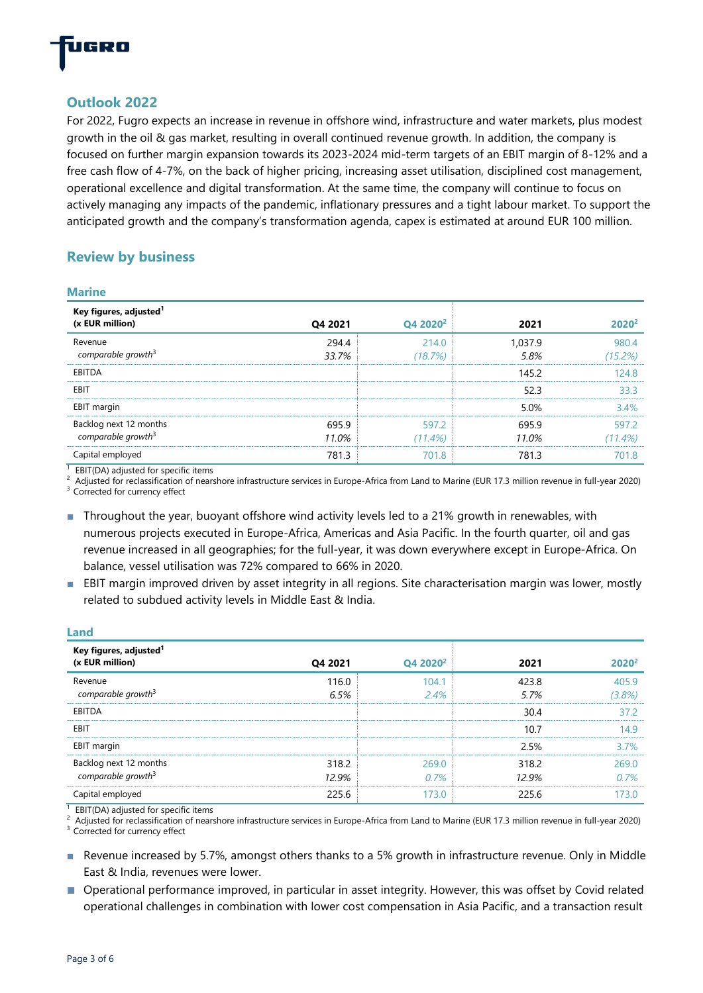

## **Outlook 2022**

For 2022, Fugro expects an increase in revenue in offshore wind, infrastructure and water markets, plus modest growth in the oil & gas market, resulting in overall continued revenue growth. In addition, the company is focused on further margin expansion towards its 2023-2024 mid-term targets of an EBIT margin of 8-12% and a free cash flow of 4-7%, on the back of higher pricing, increasing asset utilisation, disciplined cost management, operational excellence and digital transformation. At the same time, the company will continue to focus on actively managing any impacts of the pandemic, inflationary pressures and a tight labour market. To support the anticipated growth and the company's transformation agenda, capex is estimated at around EUR 100 million.

## **Review by business**

|  | ٠ |
|--|---|

| Key figures, adjusted <sup>1</sup>                       |                |                      |                 |                     |
|----------------------------------------------------------|----------------|----------------------|-----------------|---------------------|
| (x EUR million)                                          | Q4 2021        | Q4 2020 <sup>2</sup> | 2021            | $2020^2$            |
| Revenue<br>comparable growth <sup>3</sup>                | 294.4<br>33.7% | 214.0<br>(18.7%)     | 1,037.9<br>5.8% | 980.4<br>(15.2%)    |
| EBITDA                                                   |                |                      | 145.2           | 124.8               |
| EBIT                                                     |                |                      | 52.3            | 33.3                |
| EBIT margin                                              |                |                      | 5.0%            | 3.4%                |
| Backlog next 12 months<br>comparable growth <sup>3</sup> | 695.9<br>11.0% | 597.2<br>$(11.4\%)$  | 695.9<br>11.0%  | 597.2<br>$(11.4\%)$ |
| Capital employed<br>$\overline{a}$                       | 781.3          | 701.8                | 781.3           | 701.8               |

<sup>1</sup> EBIT(DA) adjusted for specific items

<sup>2</sup> Adjusted for reclassification of nearshore infrastructure services in Europe-Africa from Land to Marine (EUR 17.3 million revenue in full-year 2020)

<sup>3</sup> Corrected for currency effect

**Land**

■ Throughout the year, buoyant offshore wind activity levels led to a 21% growth in renewables, with numerous projects executed in Europe-Africa, Americas and Asia Pacific. In the fourth quarter, oil and gas revenue increased in all geographies; for the full-year, it was down everywhere except in Europe-Africa. On balance, vessel utilisation was 72% compared to 66% in 2020.

■ EBIT margin improved driven by asset integrity in all regions. Site characterisation margin was lower, mostly related to subdued activity levels in Middle East & India.

| <u>Land</u>                                              |                |                      |                |                   |
|----------------------------------------------------------|----------------|----------------------|----------------|-------------------|
| Key figures, adjusted <sup>1</sup><br>(x EUR million)    | Q4 2021        | Q4 2020 <sup>2</sup> | 2021           | 2020 <sup>2</sup> |
| Revenue<br>comparable growth <sup>3</sup>                | 116.0<br>6.5%  | 104.1<br>2.4%        | 423.8<br>5.7%  | 405.9<br>(3.8%)   |
| <b>EBITDA</b>                                            |                |                      | 30.4           | 37.2              |
| EBIT                                                     |                |                      | 10.7           | 14.9              |
| EBIT margin                                              |                |                      | 2.5%           | 3.7%              |
| Backlog next 12 months<br>comparable growth <sup>3</sup> | 318.2<br>12.9% | 269.0<br>0.7%        | 318.2<br>12.9% | 269.0<br>0.7%     |
| Capital employed                                         | 225.6          | 173.0                | 225.6          | 173.0             |

<sup>1</sup> EBIT(DA) adjusted for specific items <sup>2</sup> Adjusted for reclassification of nearshore infrastructure services in Europe-Africa from Land to Marine (EUR 17.3 million revenue in full-year 2020) <sup>3</sup> Corrected for currency effect

- Revenue increased by 5.7%, amongst others thanks to a 5% growth in infrastructure revenue. Only in Middle East & India, revenues were lower.
- Operational performance improved, in particular in asset integrity. However, this was offset by Covid related operational challenges in combination with lower cost compensation in Asia Pacific, and a transaction result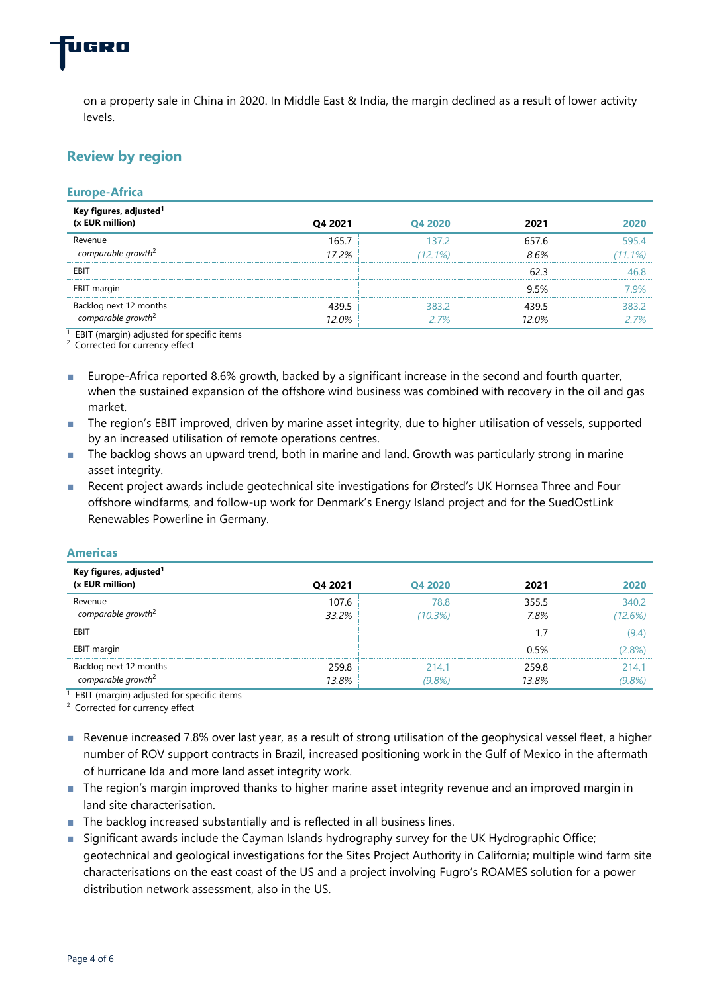

on a property sale in China in 2020. In Middle East & India, the margin declined as a result of lower activity levels.

## **Review by region**

#### **Europe-Africa Key figures, adjusted<sup>1</sup> (x EUR million) Q4 2021 Q4 2020 2021 2020** Revenue *comparable growth*<sup>2</sup> 165.7 *17.2%* 137.2 *(12.1%)* 657.6 *8.6%* **EBIT** 62.3 46.8  $\blacksquare$ EBIT margin  $\blacksquare$  7.9%  $\blacksquare$  7.9%  $\blacksquare$  7.9%  $\blacksquare$  7.9%  $\blacksquare$  7.9%  $\blacksquare$  7.9%  $\blacksquare$  7.9%  $\blacksquare$  7.9%  $\blacksquare$  7.9%  $\blacksquare$  7.9%  $\blacksquare$  7.9%  $\blacksquare$  7.9%  $\blacksquare$  7.9%  $\blacksquare$  7.9%  $\blacksquare$  7.9%  $\blacksquare$  7.9%  $\blacksquare$  7.9% Backlog next 12 months *comparable growth*<sup>2</sup> 439.5 *12.0%* 383.2 *2.7%*  439.5 *12.0%*  $<sup>1</sup>$  EBIT (margin) adjusted for specific items</sup>

595.4 *(11.1%)*

> 383.2 *2.7%*

<sup>2</sup> Corrected for currency effect

- Europe-Africa reported 8.6% growth, backed by a significant increase in the second and fourth quarter, when the sustained expansion of the offshore wind business was combined with recovery in the oil and gas market.
- The region's EBIT improved, driven by marine asset integrity, due to higher utilisation of vessels, supported by an increased utilisation of remote operations centres.
- The backlog shows an upward trend, both in marine and land. Growth was particularly strong in marine asset integrity.
- Recent project awards include geotechnical site investigations for Ørsted's UK Hornsea Three and Four offshore windfarms, and follow-up work for Denmark's Energy Island project and for the SuedOstLink Renewables Powerline in Germany.

#### **Americas**

| Key figures, adjusted <sup>1</sup>                       |         |           |       |         |
|----------------------------------------------------------|---------|-----------|-------|---------|
| (x EUR million)                                          | Q4 2021 | Q4 2020   | 2021  | 2020    |
| Revenue                                                  | 107.6   | 78.8      | 355.5 | 340.2   |
| comparable growth <sup>2</sup>                           | 33.2%   | (10.3%)   | 7.8%  | (12.6%) |
| EBIT                                                     |         |           |       | (9.4)   |
| EBIT margin                                              |         |           | 0.5%  | (2.8%)  |
| Backlog next 12 months<br>comparable growth <sup>2</sup> | 259.8   | 214.1     | 259.8 | 214.1   |
|                                                          | 13.8%   | $(9.8\%)$ | 13.8% | (9.8%)  |

 $1$  EBIT (margin) adjusted for specific items

<sup>2</sup> Corrected for currency effect

- Revenue increased 7.8% over last year, as a result of strong utilisation of the geophysical vessel fleet, a higher number of ROV support contracts in Brazil, increased positioning work in the Gulf of Mexico in the aftermath of hurricane Ida and more land asset integrity work.
- The region's margin improved thanks to higher marine asset integrity revenue and an improved margin in land site characterisation.
- The backlog increased substantially and is reflected in all business lines.
- Significant awards include the Cayman Islands hydrography survey for the UK Hydrographic Office; geotechnical and geological investigations for the Sites Project Authority in California; multiple wind farm site characterisations on the east coast of the US and a project involving Fugro's ROAMES solution for a power distribution network assessment, also in the US.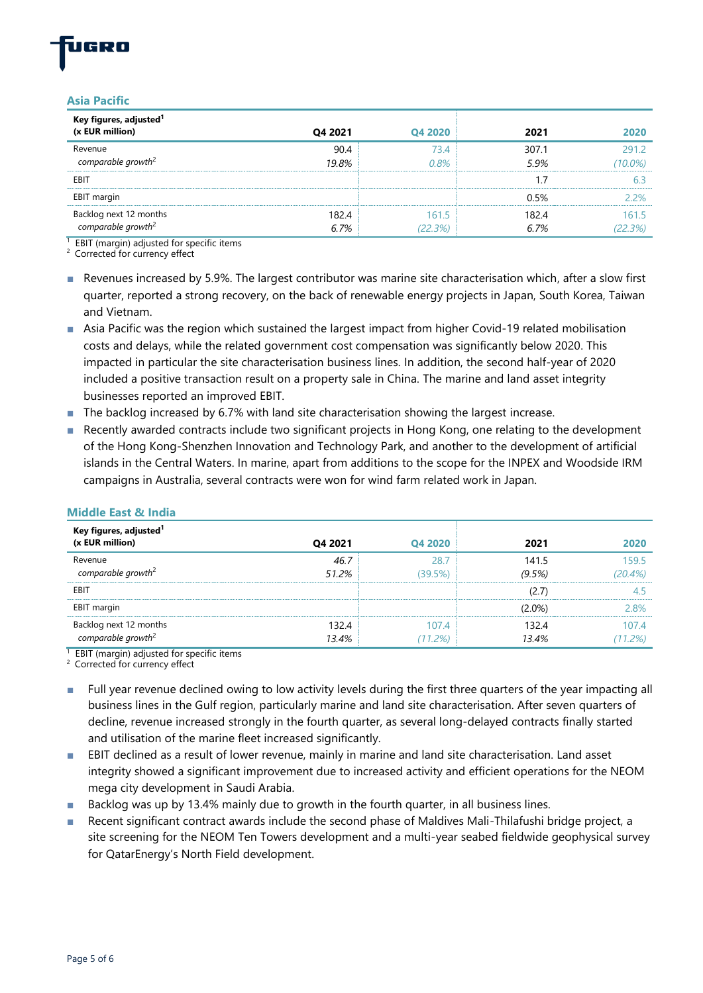#### **Asia Pacific**

| Key figures, adjusted <sup>1</sup>                       |               |                  |               |                  |
|----------------------------------------------------------|---------------|------------------|---------------|------------------|
| (x EUR million)                                          | Q4 2021       | Q4 2020          | 2021          | 2020             |
| Revenue                                                  | 90.4          | 73.4             | 307.1         | 291.2            |
| comparable growth <sup>2</sup>                           | 19.8%         | 0.8%             | 5.9%          | $(10.0\%)$       |
| EBIT                                                     |               |                  |               |                  |
| EBIT margin                                              |               |                  | 0.5%          | 2.2%             |
| Backlog next 12 months<br>comparable growth <sup>2</sup> | 182.4<br>6.7% | 161.5<br>(22.3%) | 182.4<br>6.7% | 161.5<br>(22.3%) |

 $1$  EBIT (margin) adjusted for specific items

<sup>2</sup> Corrected for currency effect

- Revenues increased by 5.9%. The largest contributor was marine site characterisation which, after a slow first quarter, reported a strong recovery, on the back of renewable energy projects in Japan, South Korea, Taiwan and Vietnam.
- Asia Pacific was the region which sustained the largest impact from higher Covid-19 related mobilisation costs and delays, while the related government cost compensation was significantly below 2020. This impacted in particular the site characterisation business lines. In addition, the second half-year of 2020 included a positive transaction result on a property sale in China. The marine and land asset integrity businesses reported an improved EBIT.
- The backlog increased by 6.7% with land site characterisation showing the largest increase.
- Recently awarded contracts include two significant projects in Hong Kong, one relating to the development of the Hong Kong-Shenzhen Innovation and Technology Park, and another to the development of artificial islands in the Central Waters. In marine, apart from additions to the scope for the INPEX and Woodside IRM campaigns in Australia, several contracts were won for wind farm related work in Japan.

| Key figures, adjusted <sup>1</sup> |         |         |           |         |
|------------------------------------|---------|---------|-----------|---------|
| (x EUR million)                    | Q4 2021 | Q4 2020 | 2021      | 2020    |
| Revenue                            | 46.7    | 28.7    | 141.5     | 159.5   |
| comparable growth <sup>2</sup>     | 51.2%   | (39.5%) | (9.5%)    | (20.4%) |
| EBIT                               |         |         | (2.7)     | 4.5     |
| EBIT margin                        |         |         | $(2.0\%)$ | 2.8%    |
| Backlog next 12 months             | 132.4   | 1074    | 132.4     | 107.4   |
| comparable growth <sup>2</sup>     | 13.4%   | (11.2%) | 13.4%     | (11.2%) |

#### **Middle East & India**

 $1$  EBIT (margin) adjusted for specific items

<sup>2</sup> Corrected for currency effect

- Full year revenue declined owing to low activity levels during the first three quarters of the year impacting all business lines in the Gulf region, particularly marine and land site characterisation. After seven quarters of decline, revenue increased strongly in the fourth quarter, as several long-delayed contracts finally started and utilisation of the marine fleet increased significantly.
- EBIT declined as a result of lower revenue, mainly in marine and land site characterisation. Land asset integrity showed a significant improvement due to increased activity and efficient operations for the NEOM mega city development in Saudi Arabia.
- Backlog was up by 13.4% mainly due to growth in the fourth quarter, in all business lines.
- Recent significant contract awards include the second phase of Maldives Mali-Thilafushi bridge project, a site screening for the NEOM Ten Towers development and a multi-year seabed fieldwide geophysical survey for QatarEnergy's North Field development.